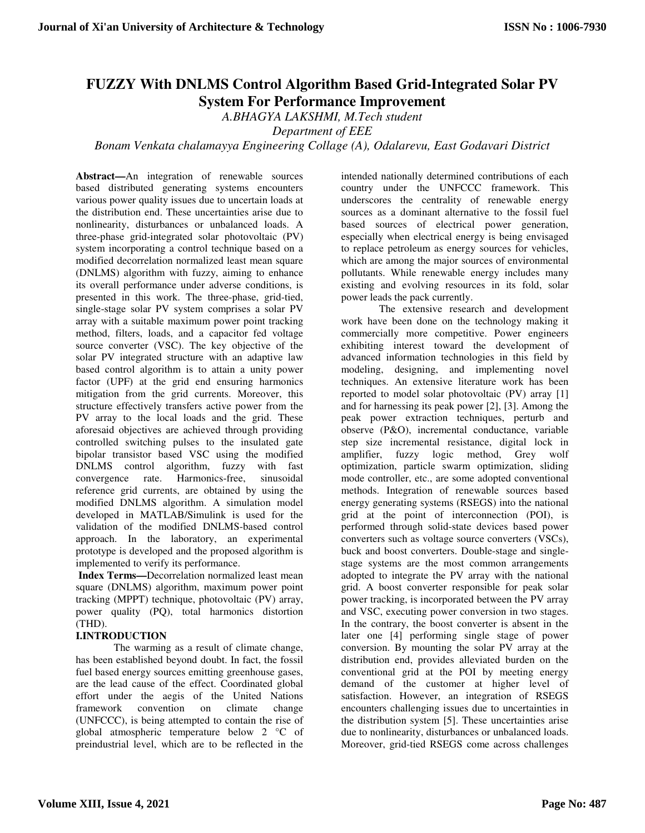# **FUZZY With DNLMS Control Algorithm Based Grid-Integrated Solar PV System For Performance Improvement**

*A.BHAGYA LAKSHMI, M.Tech student* 

*Department of EEE* 

## *Bonam Venkata chalamayya Engineering Collage (A), Odalarevu, East Godavari District*

**Abstract—**An integration of renewable sources based distributed generating systems encounters various power quality issues due to uncertain loads at the distribution end. These uncertainties arise due to nonlinearity, disturbances or unbalanced loads. A three-phase grid-integrated solar photovoltaic (PV) system incorporating a control technique based on a modified decorrelation normalized least mean square (DNLMS) algorithm with fuzzy, aiming to enhance its overall performance under adverse conditions, is presented in this work. The three-phase, grid-tied, single-stage solar PV system comprises a solar PV array with a suitable maximum power point tracking method, filters, loads, and a capacitor fed voltage source converter (VSC). The key objective of the solar PV integrated structure with an adaptive law based control algorithm is to attain a unity power factor (UPF) at the grid end ensuring harmonics mitigation from the grid currents. Moreover, this structure effectively transfers active power from the PV array to the local loads and the grid. These aforesaid objectives are achieved through providing controlled switching pulses to the insulated gate bipolar transistor based VSC using the modified DNLMS control algorithm, fuzzy with fast convergence rate. Harmonics-free, sinusoidal reference grid currents, are obtained by using the modified DNLMS algorithm. A simulation model developed in MATLAB/Simulink is used for the validation of the modified DNLMS-based control approach. In the laboratory, an experimental prototype is developed and the proposed algorithm is implemented to verify its performance.

 **Index Terms—**Decorrelation normalized least mean square (DNLMS) algorithm, maximum power point tracking (MPPT) technique, photovoltaic (PV) array, power quality (PQ), total harmonics distortion (THD).

#### **I.INTRODUCTION**

The warming as a result of climate change, has been established beyond doubt. In fact, the fossil fuel based energy sources emitting greenhouse gases, are the lead cause of the effect. Coordinated global effort under the aegis of the United Nations framework convention on climate change (UNFCCC), is being attempted to contain the rise of global atmospheric temperature below 2 °C of preindustrial level, which are to be reflected in the

intended nationally determined contributions of each country under the UNFCCC framework. This underscores the centrality of renewable energy sources as a dominant alternative to the fossil fuel based sources of electrical power generation, especially when electrical energy is being envisaged to replace petroleum as energy sources for vehicles, which are among the major sources of environmental pollutants. While renewable energy includes many existing and evolving resources in its fold, solar power leads the pack currently.

The extensive research and development work have been done on the technology making it commercially more competitive. Power engineers exhibiting interest toward the development of advanced information technologies in this field by modeling, designing, and implementing novel techniques. An extensive literature work has been reported to model solar photovoltaic (PV) array [1] and for harnessing its peak power [2], [3]. Among the peak power extraction techniques, perturb and observe (P&O), incremental conductance, variable step size incremental resistance, digital lock in amplifier, fuzzy logic method, Grey wolf optimization, particle swarm optimization, sliding mode controller, etc., are some adopted conventional methods. Integration of renewable sources based energy generating systems (RSEGS) into the national grid at the point of interconnection (POI), is performed through solid-state devices based power converters such as voltage source converters (VSCs), buck and boost converters. Double-stage and singlestage systems are the most common arrangements adopted to integrate the PV array with the national grid. A boost converter responsible for peak solar power tracking, is incorporated between the PV array and VSC, executing power conversion in two stages. In the contrary, the boost converter is absent in the later one [4] performing single stage of power conversion. By mounting the solar PV array at the distribution end, provides alleviated burden on the conventional grid at the POI by meeting energy demand of the customer at higher level of satisfaction. However, an integration of RSEGS encounters challenging issues due to uncertainties in the distribution system [5]. These uncertainties arise due to nonlinearity, disturbances or unbalanced loads. Moreover, grid-tied RSEGS come across challenges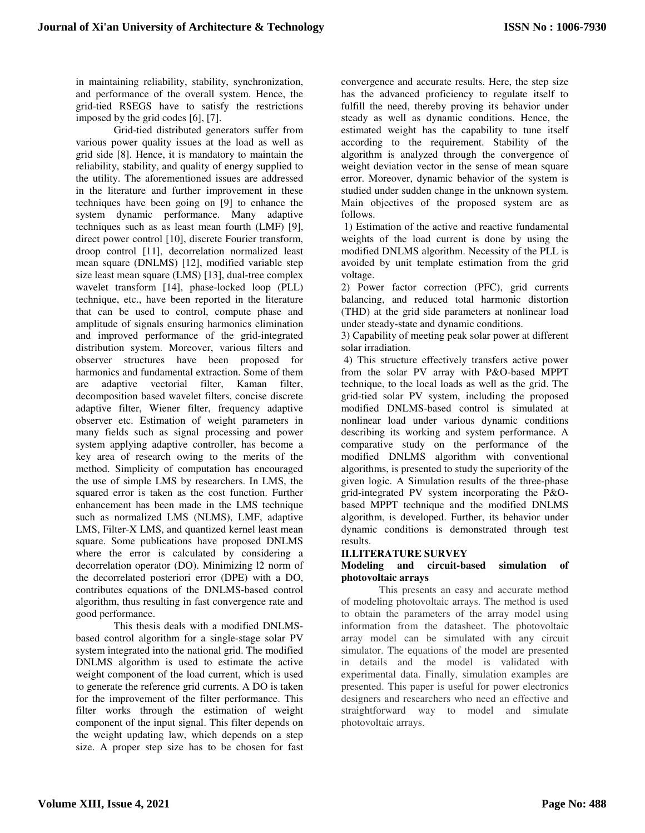in maintaining reliability, stability, synchronization, and performance of the overall system. Hence, the grid-tied RSEGS have to satisfy the restrictions imposed by the grid codes [6], [7].

Grid-tied distributed generators suffer from various power quality issues at the load as well as grid side [8]. Hence, it is mandatory to maintain the reliability, stability, and quality of energy supplied to the utility. The aforementioned issues are addressed in the literature and further improvement in these techniques have been going on [9] to enhance the system dynamic performance. Many adaptive techniques such as as least mean fourth (LMF) [9], direct power control [10], discrete Fourier transform, droop control [11], decorrelation normalized least mean square (DNLMS) [12], modified variable step size least mean square (LMS) [13], dual-tree complex wavelet transform [14], phase-locked loop (PLL) technique, etc., have been reported in the literature that can be used to control, compute phase and amplitude of signals ensuring harmonics elimination and improved performance of the grid-integrated distribution system. Moreover, various filters and observer structures have been proposed for harmonics and fundamental extraction. Some of them are adaptive vectorial filter, Kaman filter, decomposition based wavelet filters, concise discrete adaptive filter, Wiener filter, frequency adaptive observer etc. Estimation of weight parameters in many fields such as signal processing and power system applying adaptive controller, has become a key area of research owing to the merits of the method. Simplicity of computation has encouraged the use of simple LMS by researchers. In LMS, the squared error is taken as the cost function. Further enhancement has been made in the LMS technique such as normalized LMS (NLMS), LMF, adaptive LMS, Filter-X LMS, and quantized kernel least mean square. Some publications have proposed DNLMS where the error is calculated by considering a decorrelation operator (DO). Minimizing l2 norm of the decorrelated posteriori error (DPE) with a DO, contributes equations of the DNLMS-based control algorithm, thus resulting in fast convergence rate and good performance.

This thesis deals with a modified DNLMSbased control algorithm for a single-stage solar PV system integrated into the national grid. The modified DNLMS algorithm is used to estimate the active weight component of the load current, which is used to generate the reference grid currents. A DO is taken for the improvement of the filter performance. This filter works through the estimation of weight component of the input signal. This filter depends on the weight updating law, which depends on a step size. A proper step size has to be chosen for fast convergence and accurate results. Here, the step size has the advanced proficiency to regulate itself to fulfill the need, thereby proving its behavior under steady as well as dynamic conditions. Hence, the estimated weight has the capability to tune itself according to the requirement. Stability of the algorithm is analyzed through the convergence of weight deviation vector in the sense of mean square error. Moreover, dynamic behavior of the system is studied under sudden change in the unknown system. Main objectives of the proposed system are as follows.

 1) Estimation of the active and reactive fundamental weights of the load current is done by using the modified DNLMS algorithm. Necessity of the PLL is avoided by unit template estimation from the grid voltage.

2) Power factor correction (PFC), grid currents balancing, and reduced total harmonic distortion (THD) at the grid side parameters at nonlinear load under steady-state and dynamic conditions.

3) Capability of meeting peak solar power at different solar irradiation.

 4) This structure effectively transfers active power from the solar PV array with P&O-based MPPT technique, to the local loads as well as the grid. The grid-tied solar PV system, including the proposed modified DNLMS-based control is simulated at nonlinear load under various dynamic conditions describing its working and system performance. A comparative study on the performance of the modified DNLMS algorithm with conventional algorithms, is presented to study the superiority of the given logic. A Simulation results of the three-phase grid-integrated PV system incorporating the P&Obased MPPT technique and the modified DNLMS algorithm, is developed. Further, its behavior under dynamic conditions is demonstrated through test results.

#### **II.LITERATURE SURVEY**

#### **Modeling and circuit-based simulation of photovoltaic arrays**

This presents an easy and accurate method of modeling photovoltaic arrays. The method is used to obtain the parameters of the array model using information from the datasheet. The photovoltaic array model can be simulated with any circuit simulator. The equations of the model are presented in details and the model is validated with experimental data. Finally, simulation examples are presented. This paper is useful for power electronics designers and researchers who need an effective and straightforward way to model and simulate photovoltaic arrays.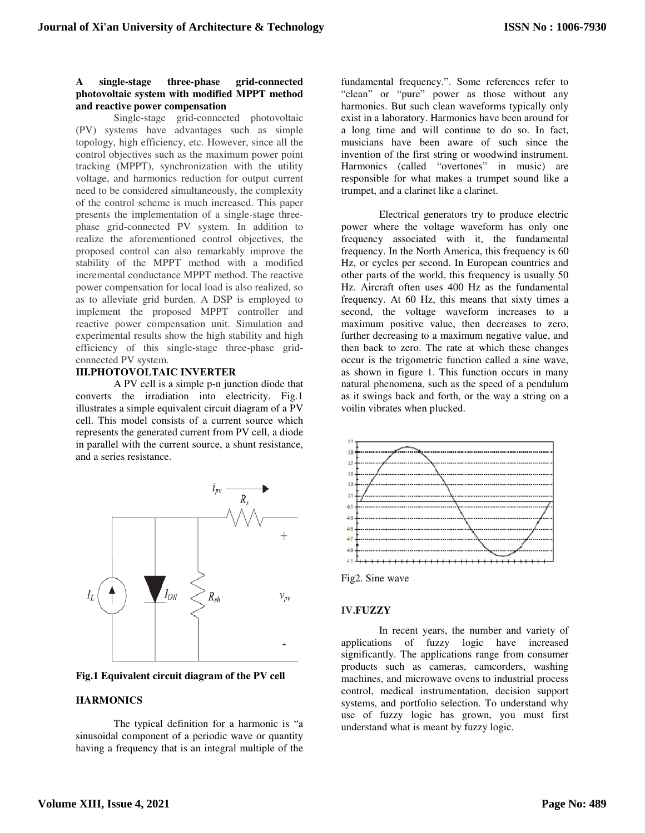#### **A single-stage three-phase grid-connected photovoltaic system with modified MPPT method and reactive power compensation**

Single-stage grid-connected photovoltaic (PV) systems have advantages such as simple topology, high efficiency, etc. However, since all the control objectives such as the maximum power point tracking (MPPT), synchronization with the utility voltage, and harmonics reduction for output current need to be considered simultaneously, the complexity of the control scheme is much increased. This paper presents the implementation of a single-stage threephase grid-connected PV system. In addition to realize the aforementioned control objectives, the proposed control can also remarkably improve the stability of the MPPT method with a modified incremental conductance MPPT method. The reactive power compensation for local load is also realized, so as to alleviate grid burden. A DSP is employed to implement the proposed MPPT controller and reactive power compensation unit. Simulation and experimental results show the high stability and high efficiency of this single-stage three-phase gridconnected PV system.

#### **III.PHOTOVOLTAIC INVERTER**

A PV cell is a simple p-n junction diode that converts the irradiation into electricity. Fig.1 illustrates a simple equivalent circuit diagram of a PV cell. This model consists of a current source which represents the generated current from PV cell, a diode in parallel with the current source, a shunt resistance, and a series resistance.



**Fig.1 Equivalent circuit diagram of the PV cell** 

#### **HARMONICS**

 The typical definition for a harmonic is "a sinusoidal component of a periodic wave or quantity having a frequency that is an integral multiple of the

fundamental frequency.". Some references refer to "clean" or "pure" power as those without any harmonics. But such clean waveforms typically only exist in a laboratory. Harmonics have been around for a long time and will continue to do so. In fact, musicians have been aware of such since the invention of the first string or woodwind instrument. Harmonics (called "overtones" in music) are responsible for what makes a trumpet sound like a trumpet, and a clarinet like a clarinet.

 Electrical generators try to produce electric power where the voltage waveform has only one frequency associated with it, the fundamental frequency. In the North America, this frequency is 60 Hz, or cycles per second. In European countries and other parts of the world, this frequency is usually 50 Hz. Aircraft often uses 400 Hz as the fundamental frequency. At 60 Hz, this means that sixty times a second, the voltage waveform increases to a maximum positive value, then decreases to zero, further decreasing to a maximum negative value, and then back to zero. The rate at which these changes occur is the trigometric function called a sine wave, as shown in figure 1. This function occurs in many natural phenomena, such as the speed of a pendulum as it swings back and forth, or the way a string on a voilin vibrates when plucked.



Fig2. Sine wave

#### **IV.FUZZY**

In recent years, the number and variety of applications of fuzzy logic have increased significantly. The applications range from consumer products such as cameras, camcorders, washing machines, and microwave ovens to industrial process control, medical instrumentation, decision support systems, and portfolio selection. To understand why use of fuzzy logic has grown, you must first understand what is meant by fuzzy logic.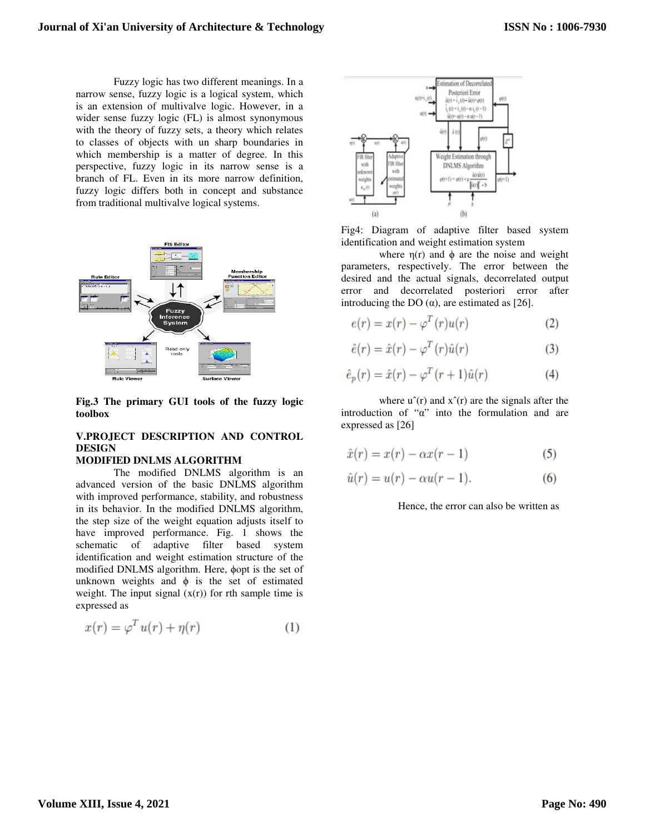Fuzzy logic has two different meanings. In a narrow sense, fuzzy logic is a logical system, which is an extension of multivalve logic. However, in a wider sense fuzzy logic (FL) is almost synonymous with the theory of fuzzy sets, a theory which relates to classes of objects with un sharp boundaries in which membership is a matter of degree. In this perspective, fuzzy logic in its narrow sense is a branch of FL. Even in its more narrow definition, fuzzy logic differs both in concept and substance from traditional multivalve logical systems.



**Fig.3 The primary GUI tools of the fuzzy logic toolbox**

### **V.PROJECT DESCRIPTION AND CONTROL DESIGN**

#### **MODIFIED DNLMS ALGORITHM**

The modified DNLMS algorithm is an advanced version of the basic DNLMS algorithm with improved performance, stability, and robustness in its behavior. In the modified DNLMS algorithm, the step size of the weight equation adjusts itself to have improved performance. Fig. 1 shows the schematic of adaptive filter based system identification and weight estimation structure of the modified DNLMS algorithm. Here, ϕopt is the set of unknown weights and  $\phi$  is the set of estimated weight. The input signal  $(x(r))$  for rth sample time is expressed as

$$
x(r) = \varphi^T u(r) + \eta(r) \tag{1}
$$



Fig4: Diagram of adaptive filter based system identification and weight estimation system

where  $\eta(r)$  and  $\phi$  are the noise and weight parameters, respectively. The error between the desired and the actual signals, decorrelated output error and decorrelated posteriori error after introducing the DO  $(α)$ , are estimated as [26].

$$
e(r) = x(r) - \varphi^T(r)u(r)
$$
 (2)

$$
\hat{e}(r) = \hat{x}(r) - \varphi^T(r)\hat{u}(r)
$$
\n(3)

$$
\hat{e}_p(r) = \hat{x}(r) - \varphi^T(r+1)\hat{u}(r) \tag{4}
$$

where  $u^r(r)$  and  $x^r(r)$  are the signals after the introduction of "α" into the formulation and are expressed as [26]

$$
\hat{x}(r) = x(r) - \alpha x(r-1) \tag{5}
$$

$$
\hat{u}(r) = u(r) - \alpha u(r - 1). \tag{6}
$$

Hence, the error can also be written as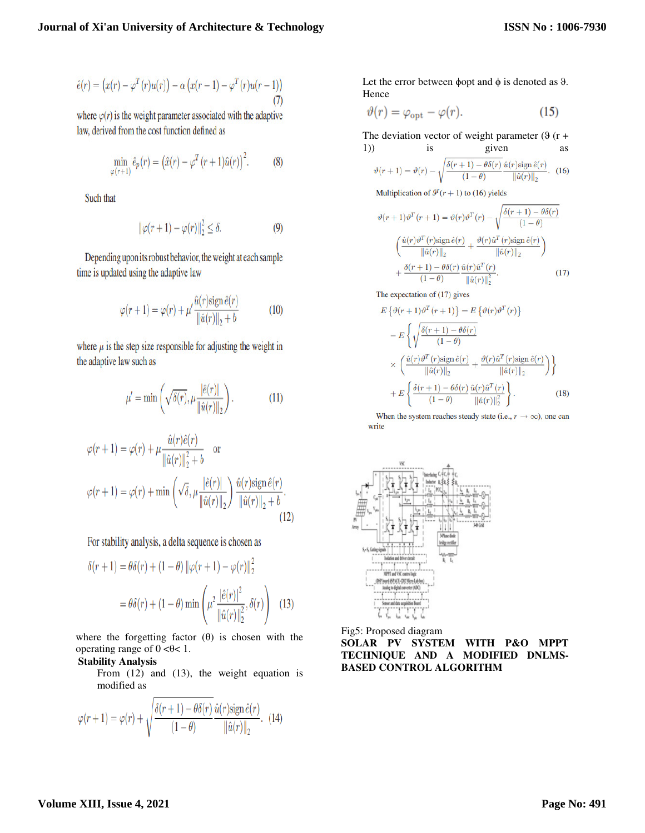$$
\hat{e}(r) = (x(r) - \varphi^{T}(r)u(r)) - \alpha (x(r-1) - \varphi^{T}(r)u(r-1))
$$
\n(7)

where  $\varphi(r)$  is the weight parameter associated with the adaptive law, derived from the cost function defined as

$$
\min_{\varphi(r+1)} \hat{e}_p(r) = (\hat{x}(r) - \varphi^T(r+1)\hat{u}(r))^2.
$$
 (8)

Such that

$$
\|\varphi(r+1) - \varphi(r)\|_2^2 \le \delta. \tag{9}
$$

Depending upon its robust behavior, the weight at each sample time is updated using the adaptive law

$$
\varphi(r+1) = \varphi(r) + \mu' \frac{\hat{u}(r)\text{sign}\,\hat{e}(r)}{\|\hat{u}(r)\|_2 + b} \tag{10}
$$

where  $\mu$  is the step size responsible for adjusting the weight in the adaptive law such as

$$
\mu' = \min\left(\sqrt{\delta(r)}, \mu \frac{|\hat{e}(r)|}{\|\hat{u}(r)\|_2}\right). \tag{11}
$$

$$
\varphi(r+1) = \varphi(r) + \mu \frac{\hat{u}(r)\hat{e}(r)}{\|\hat{u}(r)\|_2^2 + b} \quad \text{or}
$$

$$
\varphi(r+1) = \varphi(r) + \min\left(\sqrt{\delta}, \mu \frac{|\hat{e}(r)|}{\|\hat{u}(r)\|_2}\right) \frac{\hat{u}(r)\text{sign}\,\hat{e}(r)}{\|\hat{u}(r)\|_2 + b}.
$$
(12)

For stability analysis, a delta sequence is chosen as

$$
\delta(r+1) = \theta \delta(r) + (1 - \theta) \|\varphi(r+1) - \varphi(r)\|_2^2
$$
  
=  $\theta \delta(r) + (1 - \theta) \min \left( \mu^2 \frac{|\hat{e}(r)|^2}{\|\hat{u}(r)\|_2^2}, \delta(r) \right)$  (13)

where the forgetting factor  $(\theta)$  is chosen with the operating range of  $0 < \theta < 1$ .

#### **Stability Analysis**

From (12) and (13), the weight equation is modified as

$$
\varphi(r+1) = \varphi(r) + \sqrt{\frac{\delta(r+1) - \theta \delta(r)}{(1-\theta)}} \frac{\hat{u}(r) \text{sign}\,\hat{e}(r)}{\|\hat{u}(r)\|_2}.
$$
 (14)

Let the error between  $\phi$ opt and  $\phi$  is denoted as  $\theta$ . Hence

$$
\vartheta(r) = \varphi_{\rm opt} - \varphi(r). \tag{15}
$$

The deviation vector of weight parameter  $(\vartheta(r +$ 1)) is given as

$$
\vartheta(r+1) = \vartheta(r) - \sqrt{\frac{\delta(r+1) - \theta \delta(r)}{(1-\theta)}} \frac{\hat{u}(r) \text{sign}\,\hat{e}(r)}{\|\hat{u}(r)\|_2}.
$$
 (16)

Multiplication of  $\theta^{T}(r+1)$  to (16) yields

$$
\vartheta(r+1)\vartheta^{T}(r+1) = \vartheta(r)\vartheta^{T}(r) - \sqrt{\frac{\delta(r+1) - \theta\delta(r)}{(1-\theta)}}
$$

$$
\left(\frac{\hat{u}(r)\vartheta^{T}(r)\operatorname{sign}\hat{e}(r)}{\|\hat{u}(r)\|_{2}} + \frac{\vartheta(r)\hat{u}^{T}(r)\operatorname{sign}\hat{e}(r)}{\|\hat{u}(r)\|_{2}}\right)
$$

$$
+\frac{\delta(r+1) - \theta\delta(r)}{(1-\theta)}\frac{\hat{u}(r)\hat{u}^{T}(r)}{\|\hat{u}(r)\|_{2}^{2}}.
$$
(17)

The expectation of (17) gives

$$
E\left\{\vartheta(r+1)\vartheta^{T}(r+1)\right\} = E\left\{\vartheta(r)\vartheta^{T}(r)\right\}
$$

$$
-E\left\{\sqrt{\frac{\delta(r+1)-\theta\delta(r)}{(1-\theta)}}
$$

$$
\times \left(\frac{\hat{u}(r)\vartheta^{T}(r)\text{sign}\,\hat{e}(r)}{\|\hat{u}(r)\|_{2}} + \frac{\vartheta(r)\hat{u}^{T}(r)\text{sign}\,\hat{e}(r)}{\|\hat{u}(r)\|_{2}}\right)\right\}
$$

$$
+E\left\{\frac{\delta(r+1)-\theta\delta(r)}{(1-\theta)}\frac{\hat{u}(r)\hat{u}^{T}(r)}{\|\hat{u}(r)\|_{2}^{2}}\right\}.
$$
(18)

When the system reaches steady state (i.e.,  $r \rightarrow \infty$ ), one can write



Fig5: Proposed diagram **SOLAR PV SYSTEM WITH P&O MPPT TECHNIQUE AND A MODIFIED DNLMS-BASED CONTROL ALGORITHM**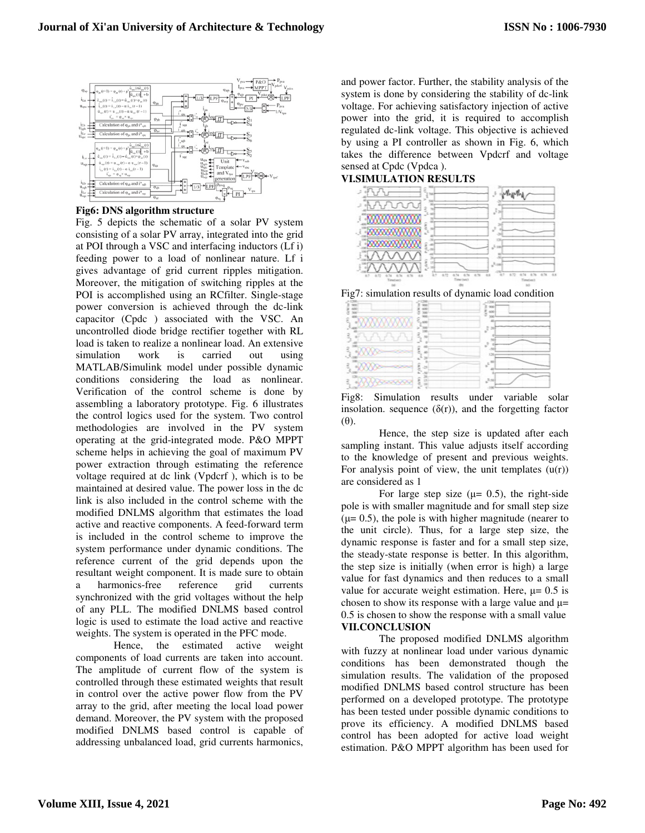

**Fig6: DNS algorithm structure** 

Fig. 5 depicts the schematic of a solar PV system consisting of a solar PV array, integrated into the grid at POI through a VSC and interfacing inductors (Lf i) feeding power to a load of nonlinear nature. Lf i gives advantage of grid current ripples mitigation. Moreover, the mitigation of switching ripples at the POI is accomplished using an RCfilter. Single-stage power conversion is achieved through the dc-link capacitor (Cpdc ) associated with the VSC. An uncontrolled diode bridge rectifier together with RL load is taken to realize a nonlinear load. An extensive simulation work is carried out using MATLAB/Simulink model under possible dynamic conditions considering the load as nonlinear. Verification of the control scheme is done by assembling a laboratory prototype. Fig. 6 illustrates the control logics used for the system. Two control methodologies are involved in the PV system operating at the grid-integrated mode. P&O MPPT scheme helps in achieving the goal of maximum PV power extraction through estimating the reference voltage required at dc link (Vpdcrf ), which is to be maintained at desired value. The power loss in the dc link is also included in the control scheme with the modified DNLMS algorithm that estimates the load active and reactive components. A feed-forward term is included in the control scheme to improve the system performance under dynamic conditions. The reference current of the grid depends upon the resultant weight component. It is made sure to obtain a harmonics-free reference grid currents synchronized with the grid voltages without the help of any PLL. The modified DNLMS based control logic is used to estimate the load active and reactive weights. The system is operated in the PFC mode.

Hence, the estimated active weight components of load currents are taken into account. The amplitude of current flow of the system is controlled through these estimated weights that result in control over the active power flow from the PV array to the grid, after meeting the local load power demand. Moreover, the PV system with the proposed modified DNLMS based control is capable of addressing unbalanced load, grid currents harmonics, and power factor. Further, the stability analysis of the system is done by considering the stability of dc-link voltage. For achieving satisfactory injection of active power into the grid, it is required to accomplish regulated dc-link voltage. This objective is achieved by using a PI controller as shown in Fig. 6, which takes the difference between Vpdcrf and voltage sensed at Cpdc (Vpdca ).

#### **VI.SIMULATION RESULTS**



Fig7: simulation results of dynamic load condition

|    |                    | w       |
|----|--------------------|---------|
|    |                    | 43<br>ĩ |
|    | s                  |         |
|    | J                  |         |
|    |                    |         |
| ù, | ٤<br>$-29^{\circ}$ | s.      |
|    |                    |         |
|    | g                  | 2a      |

Fig8: Simulation results under variable solar insolation. sequence  $(\delta(r))$ , and the forgetting factor (θ).

Hence, the step size is updated after each sampling instant. This value adjusts itself according to the knowledge of present and previous weights. For analysis point of view, the unit templates  $(u(r))$ are considered as 1

For large step size ( $\mu$ = 0.5), the right-side pole is with smaller magnitude and for small step size  $(\mu= 0.5)$ , the pole is with higher magnitude (nearer to the unit circle). Thus, for a large step size, the dynamic response is faster and for a small step size, the steady-state response is better. In this algorithm, the step size is initially (when error is high) a large value for fast dynamics and then reduces to a small value for accurate weight estimation. Here,  $\mu$  = 0.5 is chosen to show its response with a large value and  $\mu$ = 0.5 is chosen to show the response with a small value **VII.CONCLUSION** 

The proposed modified DNLMS algorithm with fuzzy at nonlinear load under various dynamic conditions has been demonstrated though the simulation results. The validation of the proposed modified DNLMS based control structure has been performed on a developed prototype. The prototype has been tested under possible dynamic conditions to prove its efficiency. A modified DNLMS based control has been adopted for active load weight estimation. P&O MPPT algorithm has been used for